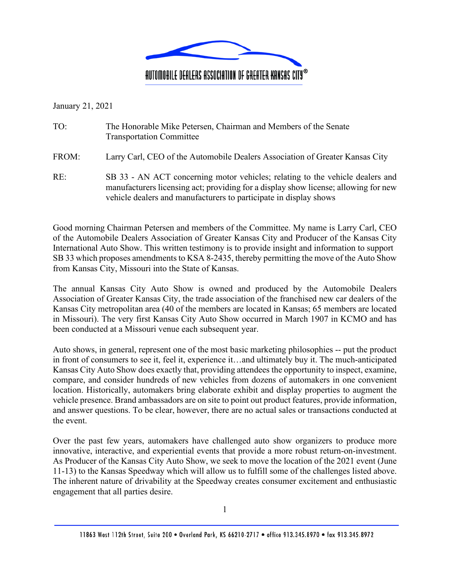

January 21, 2021

| TO: | The Honorable Mike Petersen, Chairman and Members of the Senate |
|-----|-----------------------------------------------------------------|
|     | <b>Transportation Committee</b>                                 |

FROM: Larry Carl, CEO of the Automobile Dealers Association of Greater Kansas City

RE: SB 33 - AN ACT concerning motor vehicles; relating to the vehicle dealers and manufacturers licensing act; providing for a display show license; allowing for new vehicle dealers and manufacturers to participate in display shows

Good morning Chairman Petersen and members of the Committee. My name is Larry Carl, CEO of the Automobile Dealers Association of Greater Kansas City and Producer of the Kansas City International Auto Show. This written testimony is to provide insight and information to support SB 33 which proposes amendments to KSA 8-2435, thereby permitting the move of the Auto Show from Kansas City, Missouri into the State of Kansas.

The annual Kansas City Auto Show is owned and produced by the Automobile Dealers Association of Greater Kansas City, the trade association of the franchised new car dealers of the Kansas City metropolitan area (40 of the members are located in Kansas; 65 members are located in Missouri). The very first Kansas City Auto Show occurred in March 1907 in KCMO and has been conducted at a Missouri venue each subsequent year.

Auto shows, in general, represent one of the most basic marketing philosophies -- put the product in front of consumers to see it, feel it, experience it…and ultimately buy it. The much-anticipated Kansas City Auto Show does exactly that, providing attendees the opportunity to inspect, examine, compare, and consider hundreds of new vehicles from dozens of automakers in one convenient location. Historically, automakers bring elaborate exhibit and display properties to augment the vehicle presence. Brand ambassadors are on site to point out product features, provide information, and answer questions. To be clear, however, there are no actual sales or transactions conducted at the event.

Over the past few years, automakers have challenged auto show organizers to produce more innovative, interactive, and experiential events that provide a more robust return-on-investment. As Producer of the Kansas City Auto Show, we seek to move the location of the 2021 event (June 11-13) to the Kansas Speedway which will allow us to fulfill some of the challenges listed above. The inherent nature of drivability at the Speedway creates consumer excitement and enthusiastic engagement that all parties desire.